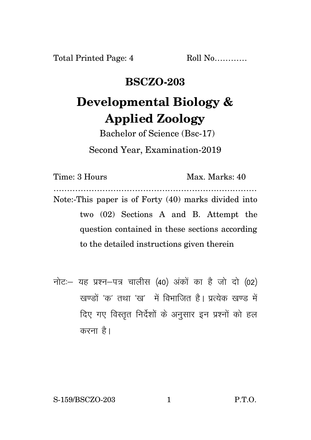Total Printed Page: 4 Roll No...........

## **BSCZO-203**

## **Developmental Biology & Applied Zoology**

Bachelor of Science (Bsc-17) Second Year, Examination-2019

Time: 3 Hours Max. Marks: 40 ………………………………………………………………… Note:-This paper is of Forty (40) marks divided into two (02) Sections A and B. Attempt the question contained in these sections according to the detailed instructions given therein

नोट: यह प्रश्न-पत्र चालीस (40) अंकों का है जो दो (02) खण्डों 'क' तथा 'ख' में विभाजित है। प्रत्येक खण्ड में दिए गए विस्तृत निर्देशों के अनुसार इन प्रश्नों को हल करना $\hat{g}$ ।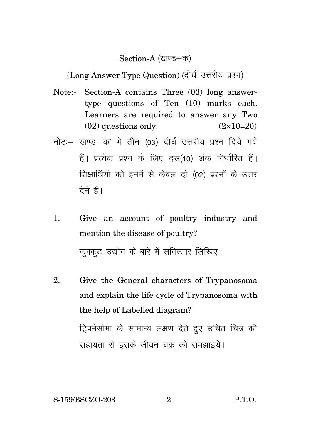## Section-A (खण्ड-क)

(Long Answer Type Question) (दीर्घ उत्तरीय प्रश्न)

- Note:- Section-A contains Three (03) long answertype questions of Ten (10) marks each. Learners are required to answer any Two  $(02)$  questions only.  $(2 \times 10=20)$
- नोट: खण्ड 'क' में तीन (03) दीर्घ उत्तरीय प्रश्न दिये गये हैं। प्रत्येक प्रश्न के लिए दस(10) अंक निर्धारित हैं। शिक्षार्थियों को इनमें से केवल दो (02) प्रश्नों के उत्तर टेने हैं।
- 1. Give an account of poultry industry and mention the disease of poultry? कक्कट उद्योग के बारे में सविस्तार लिखिए।
- 2. Give the General characters of Trypanosoma and explain the life cycle of Trypanosoma with the help of Labelled diagram? ट्रिपनेसोमा के सामान्य लक्षण देते हुए उचित चित्र की सहायता से इसके जीवन चक्र को समझाइये।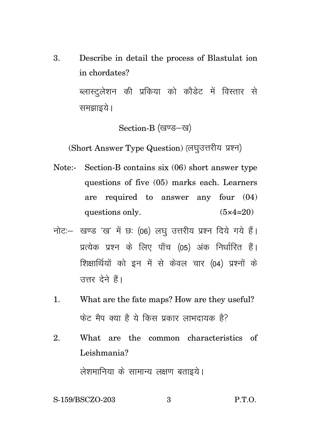3. Describe in detail the process of Blastulat ion in chordates?

> ब्लास्ट्लेशन की प्रकिया को कौडेट में विस्तार से समझाइये ।

> > Section-B (खण्ड-ख)

(Short Answer Type Question) (लघुउत्तरीय प्रश्न)

- Note:- Section-B contains six (06) short answer type questions of five (05) marks each. Learners are required to answer any four (04) questions only.  $(5 \times 4=20)$
- नोट: खण्ड 'ख' में छः (06) लघु उत्तरीय प्रश्न दिये गये हैं। प्रत्येक प्रश्न के लिए पाँच (05) अंक निर्धारित हैं। शिक्षार्थियों को इन में से केवल चार (04) प्रश्नों के त्तर देने हैं।
- 1. What are the fate maps? How are they useful? फेट मैप क्या है ये किस प्रकार लाभदायक है?
- 2. What are the common characteristics of Leishmania?

लेशमानिया के सामान्य लक्षण बताइये।

## S-159/BSCZO-203 3 P.T.O.